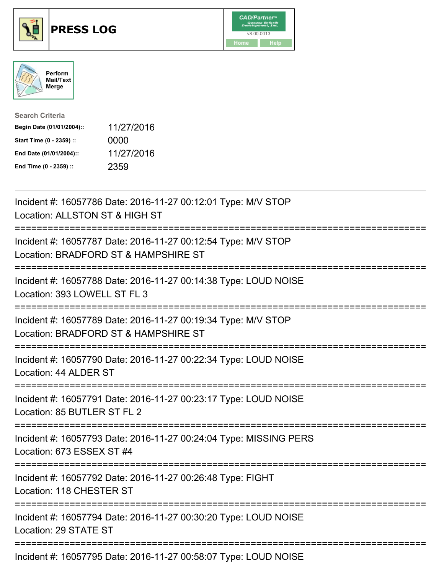

## **PRESS LOG** v8.00.0013





| <b>Search Criteria</b>    |            |
|---------------------------|------------|
| Begin Date (01/01/2004):: | 11/27/2016 |
| Start Time (0 - 2359) ::  | 0000       |
| End Date (01/01/2004)::   | 11/27/2016 |
| End Time (0 - 2359) ::    | 2359       |

Incident #: 16057786 Date: 2016-11-27 00:12:01 Type: M/V STOP Location: ALLSTON ST & HIGH ST =========================================================================== Incident #: 16057787 Date: 2016-11-27 00:12:54 Type: M/V STOP Location: BRADFORD ST & HAMPSHIRE ST =========================================================================== Incident #: 16057788 Date: 2016-11-27 00:14:38 Type: LOUD NOISE Location: 393 LOWELL ST FL 3 =========================================================================== Incident #: 16057789 Date: 2016-11-27 00:19:34 Type: M/V STOP Location: BRADFORD ST & HAMPSHIRE ST =========================================================================== Incident #: 16057790 Date: 2016-11-27 00:22:34 Type: LOUD NOISE Location: 44 ALDER ST =========================================================================== Incident #: 16057791 Date: 2016-11-27 00:23:17 Type: LOUD NOISE Location: 85 BUTLER ST FL 2 =========================================================================== Incident #: 16057793 Date: 2016-11-27 00:24:04 Type: MISSING PERS Location: 673 ESSEX ST #4 =========================================================================== Incident #: 16057792 Date: 2016-11-27 00:26:48 Type: FIGHT Location: 118 CHESTER ST =========================================================================== Incident #: 16057794 Date: 2016-11-27 00:30:20 Type: LOUD NOISE Location: 29 STATE ST =========================================================================== Incident #: 16057795 Date: 2016-11-27 00:58:07 Type: LOUD NOISE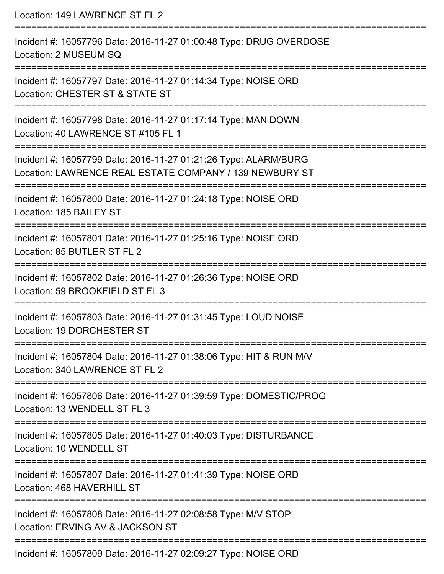Location: 149 LAWRENCE ST FL 2 =========================================================================== Incident #: 16057796 Date: 2016-11-27 01:00:48 Type: DRUG OVERDOSE Location: 2 MUSEUM SQ =========================================================================== Incident #: 16057797 Date: 2016-11-27 01:14:34 Type: NOISE ORD Location: CHESTER ST & STATE ST =========================================================================== Incident #: 16057798 Date: 2016-11-27 01:17:14 Type: MAN DOWN Location: 40 LAWRENCE ST #105 FL 1 =========================================================================== Incident #: 16057799 Date: 2016-11-27 01:21:26 Type: ALARM/BURG Location: LAWRENCE REAL ESTATE COMPANY / 139 NEWBURY ST =========================================================================== Incident #: 16057800 Date: 2016-11-27 01:24:18 Type: NOISE ORD Location: 185 BAILEY ST =========================================================================== Incident #: 16057801 Date: 2016-11-27 01:25:16 Type: NOISE ORD Location: 85 BUTLER ST FL 2 =========================================================================== Incident #: 16057802 Date: 2016-11-27 01:26:36 Type: NOISE ORD Location: 59 BROOKFIFLD ST FL 3 =========================================================================== Incident #: 16057803 Date: 2016-11-27 01:31:45 Type: LOUD NOISE Location: 19 DORCHESTER ST =========================================================================== Incident #: 16057804 Date: 2016-11-27 01:38:06 Type: HIT & RUN M/V Location: 340 LAWRENCE ST FL 2 =========================================================================== Incident #: 16057806 Date: 2016-11-27 01:39:59 Type: DOMESTIC/PROG Location: 13 WENDELL ST FL 3 =========================================================================== Incident #: 16057805 Date: 2016-11-27 01:40:03 Type: DISTURBANCE Location: 10 WENDELL ST =========================================================================== Incident #: 16057807 Date: 2016-11-27 01:41:39 Type: NOISE ORD Location: 468 HAVERHILL ST =========================================================================== Incident #: 16057808 Date: 2016-11-27 02:08:58 Type: M/V STOP Location: ERVING AV & JACKSON ST =========================================================================== Incident #: 16057809 Date: 2016-11-27 02:09:27 Type: NOISE ORD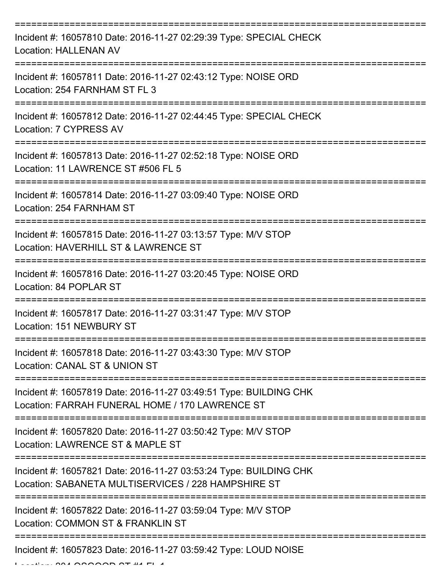| Incident #: 16057810 Date: 2016-11-27 02:29:39 Type: SPECIAL CHECK<br><b>Location: HALLENAN AV</b>                       |
|--------------------------------------------------------------------------------------------------------------------------|
| Incident #: 16057811 Date: 2016-11-27 02:43:12 Type: NOISE ORD<br>Location: 254 FARNHAM ST FL 3                          |
| Incident #: 16057812 Date: 2016-11-27 02:44:45 Type: SPECIAL CHECK<br>Location: 7 CYPRESS AV                             |
| Incident #: 16057813 Date: 2016-11-27 02:52:18 Type: NOISE ORD<br>Location: 11 LAWRENCE ST #506 FL 5                     |
| Incident #: 16057814 Date: 2016-11-27 03:09:40 Type: NOISE ORD<br>Location: 254 FARNHAM ST                               |
| Incident #: 16057815 Date: 2016-11-27 03:13:57 Type: M/V STOP<br>Location: HAVERHILL ST & LAWRENCE ST                    |
| Incident #: 16057816 Date: 2016-11-27 03:20:45 Type: NOISE ORD<br>Location: 84 POPLAR ST                                 |
| Incident #: 16057817 Date: 2016-11-27 03:31:47 Type: M/V STOP<br>Location: 151 NEWBURY ST                                |
| Incident #: 16057818 Date: 2016-11-27 03:43:30 Type: M/V STOP<br>Location: CANAL ST & UNION ST                           |
| Incident #: 16057819 Date: 2016-11-27 03:49:51 Type: BUILDING CHK<br>Location: FARRAH FUNERAL HOME / 170 LAWRENCE ST     |
| Incident #: 16057820 Date: 2016-11-27 03:50:42 Type: M/V STOP<br>Location: LAWRENCE ST & MAPLE ST                        |
| Incident #: 16057821 Date: 2016-11-27 03:53:24 Type: BUILDING CHK<br>Location: SABANETA MULTISERVICES / 228 HAMPSHIRE ST |
| Incident #: 16057822 Date: 2016-11-27 03:59:04 Type: M/V STOP<br>Location: COMMON ST & FRANKLIN ST                       |
| Incident #: 16057823 Date: 2016-11-27 03:59:42 Type: LOUD NOISE                                                          |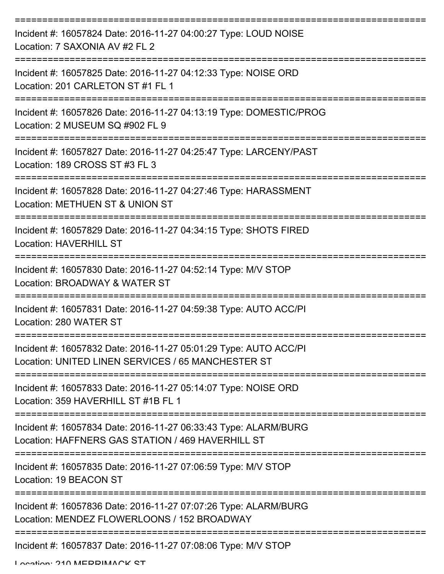| Incident #: 16057824 Date: 2016-11-27 04:00:27 Type: LOUD NOISE<br>Location: 7 SAXONIA AV #2 FL 2                      |
|------------------------------------------------------------------------------------------------------------------------|
| Incident #: 16057825 Date: 2016-11-27 04:12:33 Type: NOISE ORD<br>Location: 201 CARLETON ST #1 FL 1                    |
| Incident #: 16057826 Date: 2016-11-27 04:13:19 Type: DOMESTIC/PROG<br>Location: 2 MUSEUM SQ #902 FL 9                  |
| Incident #: 16057827 Date: 2016-11-27 04:25:47 Type: LARCENY/PAST<br>Location: 189 CROSS ST #3 FL 3                    |
| Incident #: 16057828 Date: 2016-11-27 04:27:46 Type: HARASSMENT<br>Location: METHUEN ST & UNION ST                     |
| Incident #: 16057829 Date: 2016-11-27 04:34:15 Type: SHOTS FIRED<br><b>Location: HAVERHILL ST</b>                      |
| Incident #: 16057830 Date: 2016-11-27 04:52:14 Type: M/V STOP<br>Location: BROADWAY & WATER ST                         |
| Incident #: 16057831 Date: 2016-11-27 04:59:38 Type: AUTO ACC/PI<br>Location: 280 WATER ST                             |
| Incident #: 16057832 Date: 2016-11-27 05:01:29 Type: AUTO ACC/PI<br>Location: UNITED LINEN SERVICES / 65 MANCHESTER ST |
| Incident #: 16057833 Date: 2016-11-27 05:14:07 Type: NOISE ORD<br>Location: 359 HAVERHILL ST #1B FL 1                  |
| Incident #: 16057834 Date: 2016-11-27 06:33:43 Type: ALARM/BURG<br>Location: HAFFNERS GAS STATION / 469 HAVERHILL ST   |
| Incident #: 16057835 Date: 2016-11-27 07:06:59 Type: M/V STOP<br>Location: 19 BEACON ST                                |
| Incident #: 16057836 Date: 2016-11-27 07:07:26 Type: ALARM/BURG<br>Location: MENDEZ FLOWERLOONS / 152 BROADWAY         |
| Incident #: 16057837 Date: 2016-11-27 07:08:06 Type: M/V STOP                                                          |

Location: 210 MEDDIMACK ST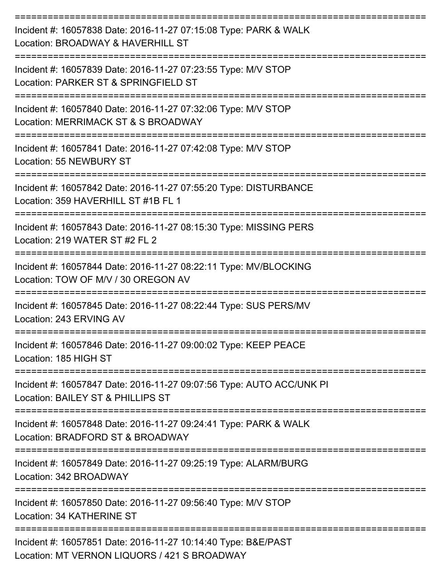| Incident #: 16057838 Date: 2016-11-27 07:15:08 Type: PARK & WALK<br>Location: BROADWAY & HAVERHILL ST         |
|---------------------------------------------------------------------------------------------------------------|
| Incident #: 16057839 Date: 2016-11-27 07:23:55 Type: M/V STOP<br>Location: PARKER ST & SPRINGFIELD ST         |
| Incident #: 16057840 Date: 2016-11-27 07:32:06 Type: M/V STOP<br>Location: MERRIMACK ST & S BROADWAY          |
| Incident #: 16057841 Date: 2016-11-27 07:42:08 Type: M/V STOP<br>Location: 55 NEWBURY ST                      |
| Incident #: 16057842 Date: 2016-11-27 07:55:20 Type: DISTURBANCE<br>Location: 359 HAVERHILL ST #1B FL 1       |
| Incident #: 16057843 Date: 2016-11-27 08:15:30 Type: MISSING PERS<br>Location: 219 WATER ST #2 FL 2           |
| Incident #: 16057844 Date: 2016-11-27 08:22:11 Type: MV/BLOCKING<br>Location: TOW OF M/V / 30 OREGON AV       |
| Incident #: 16057845 Date: 2016-11-27 08:22:44 Type: SUS PERS/MV<br>Location: 243 ERVING AV                   |
| Incident #: 16057846 Date: 2016-11-27 09:00:02 Type: KEEP PEACE<br>Location: 185 HIGH ST                      |
| Incident #: 16057847 Date: 2016-11-27 09:07:56 Type: AUTO ACC/UNK PI<br>Location: BAILEY ST & PHILLIPS ST     |
| Incident #: 16057848 Date: 2016-11-27 09:24:41 Type: PARK & WALK<br>Location: BRADFORD ST & BROADWAY          |
| Incident #: 16057849 Date: 2016-11-27 09:25:19 Type: ALARM/BURG<br>Location: 342 BROADWAY                     |
| Incident #: 16057850 Date: 2016-11-27 09:56:40 Type: M/V STOP<br>Location: 34 KATHERINE ST                    |
| Incident #: 16057851 Date: 2016-11-27 10:14:40 Type: B&E/PAST<br>Location: MT VERNON LIQUORS / 421 S BROADWAY |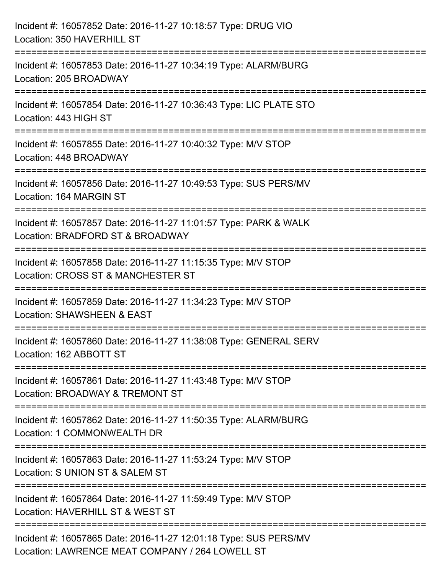| Incident #: 16057852 Date: 2016-11-27 10:18:57 Type: DRUG VIO<br>Location: 350 HAVERHILL ST                                          |
|--------------------------------------------------------------------------------------------------------------------------------------|
| Incident #: 16057853 Date: 2016-11-27 10:34:19 Type: ALARM/BURG<br>Location: 205 BROADWAY                                            |
| Incident #: 16057854 Date: 2016-11-27 10:36:43 Type: LIC PLATE STO<br>Location: 443 HIGH ST                                          |
| ==========================<br>Incident #: 16057855 Date: 2016-11-27 10:40:32 Type: M/V STOP<br>Location: 448 BROADWAY                |
| Incident #: 16057856 Date: 2016-11-27 10:49:53 Type: SUS PERS/MV<br>Location: 164 MARGIN ST                                          |
| Incident #: 16057857 Date: 2016-11-27 11:01:57 Type: PARK & WALK<br>Location: BRADFORD ST & BROADWAY                                 |
| :============================<br>Incident #: 16057858 Date: 2016-11-27 11:15:35 Type: M/V STOP<br>Location: CROSS ST & MANCHESTER ST |
| Incident #: 16057859 Date: 2016-11-27 11:34:23 Type: M/V STOP<br>Location: SHAWSHEEN & EAST                                          |
| Incident #: 16057860 Date: 2016-11-27 11:38:08 Type: GENERAL SERV<br>Location: 162 ABBOTT ST                                         |
| Incident #: 16057861 Date: 2016-11-27 11:43:48 Type: M/V STOP<br>Location: BROADWAY & TREMONT ST                                     |
| Incident #: 16057862 Date: 2016-11-27 11:50:35 Type: ALARM/BURG<br>Location: 1 COMMONWEALTH DR                                       |
| Incident #: 16057863 Date: 2016-11-27 11:53:24 Type: M/V STOP<br>Location: S UNION ST & SALEM ST                                     |
| Incident #: 16057864 Date: 2016-11-27 11:59:49 Type: M/V STOP<br>Location: HAVERHILL ST & WEST ST                                    |
| Incident #: 16057865 Date: 2016-11-27 12:01:18 Type: SUS PERS/MV<br>Location: LAWRENCE MEAT COMPANY / 264 LOWELL ST                  |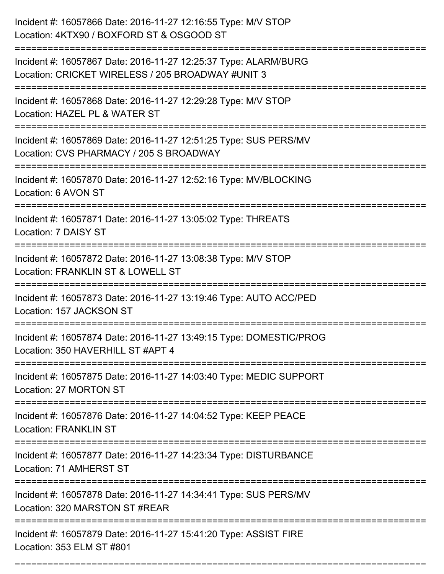| Incident #: 16057866 Date: 2016-11-27 12:16:55 Type: M/V STOP<br>Location: 4KTX90 / BOXFORD ST & OSGOOD ST                          |
|-------------------------------------------------------------------------------------------------------------------------------------|
| Incident #: 16057867 Date: 2016-11-27 12:25:37 Type: ALARM/BURG<br>Location: CRICKET WIRELESS / 205 BROADWAY #UNIT 3                |
| Incident #: 16057868 Date: 2016-11-27 12:29:28 Type: M/V STOP<br>Location: HAZEL PL & WATER ST<br>===================               |
| Incident #: 16057869 Date: 2016-11-27 12:51:25 Type: SUS PERS/MV<br>Location: CVS PHARMACY / 205 S BROADWAY                         |
| Incident #: 16057870 Date: 2016-11-27 12:52:16 Type: MV/BLOCKING<br>Location: 6 AVON ST                                             |
| Incident #: 16057871 Date: 2016-11-27 13:05:02 Type: THREATS<br>Location: 7 DAISY ST                                                |
| Incident #: 16057872 Date: 2016-11-27 13:08:38 Type: M/V STOP<br>Location: FRANKLIN ST & LOWELL ST                                  |
| Incident #: 16057873 Date: 2016-11-27 13:19:46 Type: AUTO ACC/PED<br>Location: 157 JACKSON ST                                       |
| Incident #: 16057874 Date: 2016-11-27 13:49:15 Type: DOMESTIC/PROG<br>Location: 350 HAVERHILL ST #APT 4                             |
| Incident #: 16057875 Date: 2016-11-27 14:03:40 Type: MEDIC SUPPORT<br>Location: 27 MORTON ST                                        |
| Incident #: 16057876 Date: 2016-11-27 14:04:52 Type: KEEP PEACE<br><b>Location: FRANKLIN ST</b>                                     |
| Incident #: 16057877 Date: 2016-11-27 14:23:34 Type: DISTURBANCE<br>Location: 71 AMHERST ST                                         |
| =============================<br>Incident #: 16057878 Date: 2016-11-27 14:34:41 Type: SUS PERS/MV<br>Location: 320 MARSTON ST #REAR |
| Incident #: 16057879 Date: 2016-11-27 15:41:20 Type: ASSIST FIRE<br>Location: 353 ELM ST #801                                       |

===========================================================================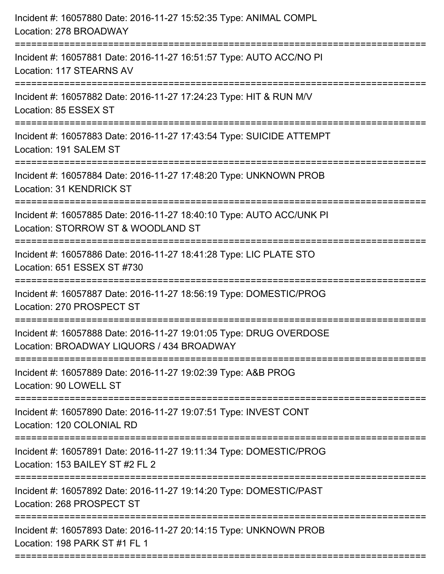| Incident #: 16057880 Date: 2016-11-27 15:52:35 Type: ANIMAL COMPL<br>Location: 278 BROADWAY<br>:==================================                                                  |
|-------------------------------------------------------------------------------------------------------------------------------------------------------------------------------------|
| Incident #: 16057881 Date: 2016-11-27 16:51:57 Type: AUTO ACC/NO PI<br>Location: 117 STEARNS AV                                                                                     |
| Incident #: 16057882 Date: 2016-11-27 17:24:23 Type: HIT & RUN M/V<br>Location: 85 ESSEX ST<br>:======================                                                              |
| Incident #: 16057883 Date: 2016-11-27 17:43:54 Type: SUICIDE ATTEMPT<br>Location: 191 SALEM ST                                                                                      |
| Incident #: 16057884 Date: 2016-11-27 17:48:20 Type: UNKNOWN PROB<br><b>Location: 31 KENDRICK ST</b><br>=====================================<br>---------------------------------- |
| Incident #: 16057885 Date: 2016-11-27 18:40:10 Type: AUTO ACC/UNK PI<br>Location: STORROW ST & WOODLAND ST<br>-------------------                                                   |
| Incident #: 16057886 Date: 2016-11-27 18:41:28 Type: LIC PLATE STO<br>Location: 651 ESSEX ST #730                                                                                   |
| Incident #: 16057887 Date: 2016-11-27 18:56:19 Type: DOMESTIC/PROG<br>Location: 270 PROSPECT ST                                                                                     |
| Incident #: 16057888 Date: 2016-11-27 19:01:05 Type: DRUG OVERDOSE<br>Location: BROADWAY LIQUORS / 434 BROADWAY                                                                     |
| Incident #: 16057889 Date: 2016-11-27 19:02:39 Type: A&B PROG<br>Location: 90 LOWELL ST                                                                                             |
| Incident #: 16057890 Date: 2016-11-27 19:07:51 Type: INVEST CONT<br>Location: 120 COLONIAL RD                                                                                       |
| Incident #: 16057891 Date: 2016-11-27 19:11:34 Type: DOMESTIC/PROG<br>Location: 153 BAILEY ST #2 FL 2                                                                               |
| Incident #: 16057892 Date: 2016-11-27 19:14:20 Type: DOMESTIC/PAST<br>Location: 268 PROSPECT ST                                                                                     |
| Incident #: 16057893 Date: 2016-11-27 20:14:15 Type: UNKNOWN PROB<br>Location: 198 PARK ST #1 FL 1                                                                                  |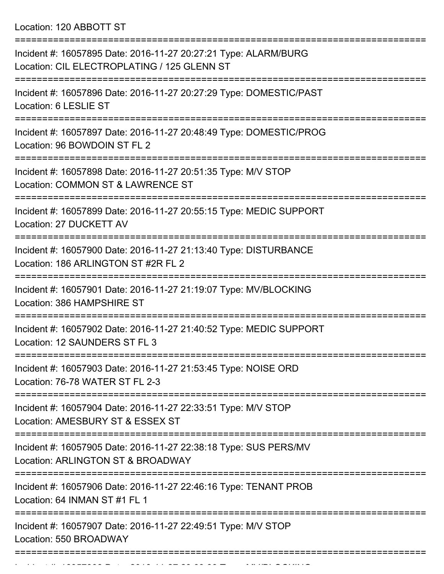Location: 120 ABBOTT ST

| Incident #: 16057895 Date: 2016-11-27 20:27:21 Type: ALARM/BURG<br>Location: CIL ELECTROPLATING / 125 GLENN ST |
|----------------------------------------------------------------------------------------------------------------|
| Incident #: 16057896 Date: 2016-11-27 20:27:29 Type: DOMESTIC/PAST<br>Location: 6 LESLIE ST                    |
| Incident #: 16057897 Date: 2016-11-27 20:48:49 Type: DOMESTIC/PROG<br>Location: 96 BOWDOIN ST FL 2             |
| Incident #: 16057898 Date: 2016-11-27 20:51:35 Type: M/V STOP<br>Location: COMMON ST & LAWRENCE ST             |
| Incident #: 16057899 Date: 2016-11-27 20:55:15 Type: MEDIC SUPPORT<br>Location: 27 DUCKETT AV                  |
| Incident #: 16057900 Date: 2016-11-27 21:13:40 Type: DISTURBANCE<br>Location: 186 ARLINGTON ST #2R FL 2        |
| Incident #: 16057901 Date: 2016-11-27 21:19:07 Type: MV/BLOCKING<br>Location: 386 HAMPSHIRE ST                 |
| Incident #: 16057902 Date: 2016-11-27 21:40:52 Type: MEDIC SUPPORT<br>Location: 12 SAUNDERS ST FL 3            |
| Incident #: 16057903 Date: 2016-11-27 21:53:45 Type: NOISE ORD<br>Location: 76-78 WATER ST FL 2-3              |
| Incident #: 16057904 Date: 2016-11-27 22:33:51 Type: M/V STOP<br>Location: AMESBURY ST & ESSEX ST              |
| Incident #: 16057905 Date: 2016-11-27 22:38:18 Type: SUS PERS/MV<br>Location: ARLINGTON ST & BROADWAY          |
| Incident #: 16057906 Date: 2016-11-27 22:46:16 Type: TENANT PROB<br>Location: 64 INMAN ST #1 FL 1              |
| Incident #: 16057907 Date: 2016-11-27 22:49:51 Type: M/V STOP<br>Location: 550 BROADWAY                        |
|                                                                                                                |